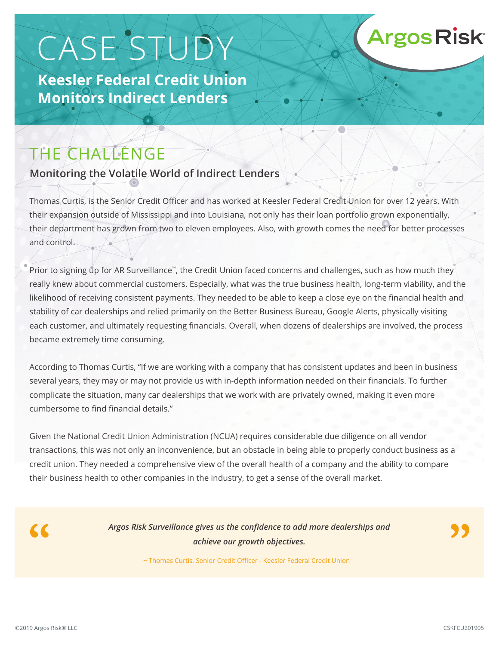# CASE STUDY

**Keesler Federal Credit Union Monitors Indirect Lenders**

## THE CHALLENGE

#### **Monitoring the Volatile World of Indirect Lenders**

Thomas Curtis, is the Senior Credit Officer and has worked at Keesler Federal Credit Union for over 12 years. With their expansion outside of Mississippi and into Louisiana, not only has their loan portfolio grown exponentially, their department has grown from two to eleven employees. Also, with growth comes the need for better processes and control.

Prior to signing up for AR Surveillance™, the Credit Union faced concerns and challenges, such as how much they really knew about commercial customers. Especially, what was the true business health, long-term viability, and the likelihood of receiving consistent payments. They needed to be able to keep a close eye on the financial health and stability of car dealerships and relied primarily on the Better Business Bureau, Google Alerts, physically visiting each customer, and ultimately requesting financials. Overall, when dozens of dealerships are involved, the process became extremely time consuming.

According to Thomas Curtis, "If we are working with a company that has consistent updates and been in business several years, they may or may not provide us with in-depth information needed on their financials. To further complicate the situation, many car dealerships that we work with are privately owned, making it even more cumbersome to find financial details."

Given the National Credit Union Administration (NCUA) requires considerable due diligence on all vendor transactions, this was not only an inconvenience, but an obstacle in being able to properly conduct business as a credit union. They needed a comprehensive view of the overall health of a company and the ability to compare their business health to other companies in the industry, to get a sense of the overall market.



*Argos Risk Surveillance gives us the confidence to add more dealerships and achieve our growth objectives.*

**Argos Risk** 

~ Thomas Curtis, Senior Credit Officer - Keesler Federal Credit Union